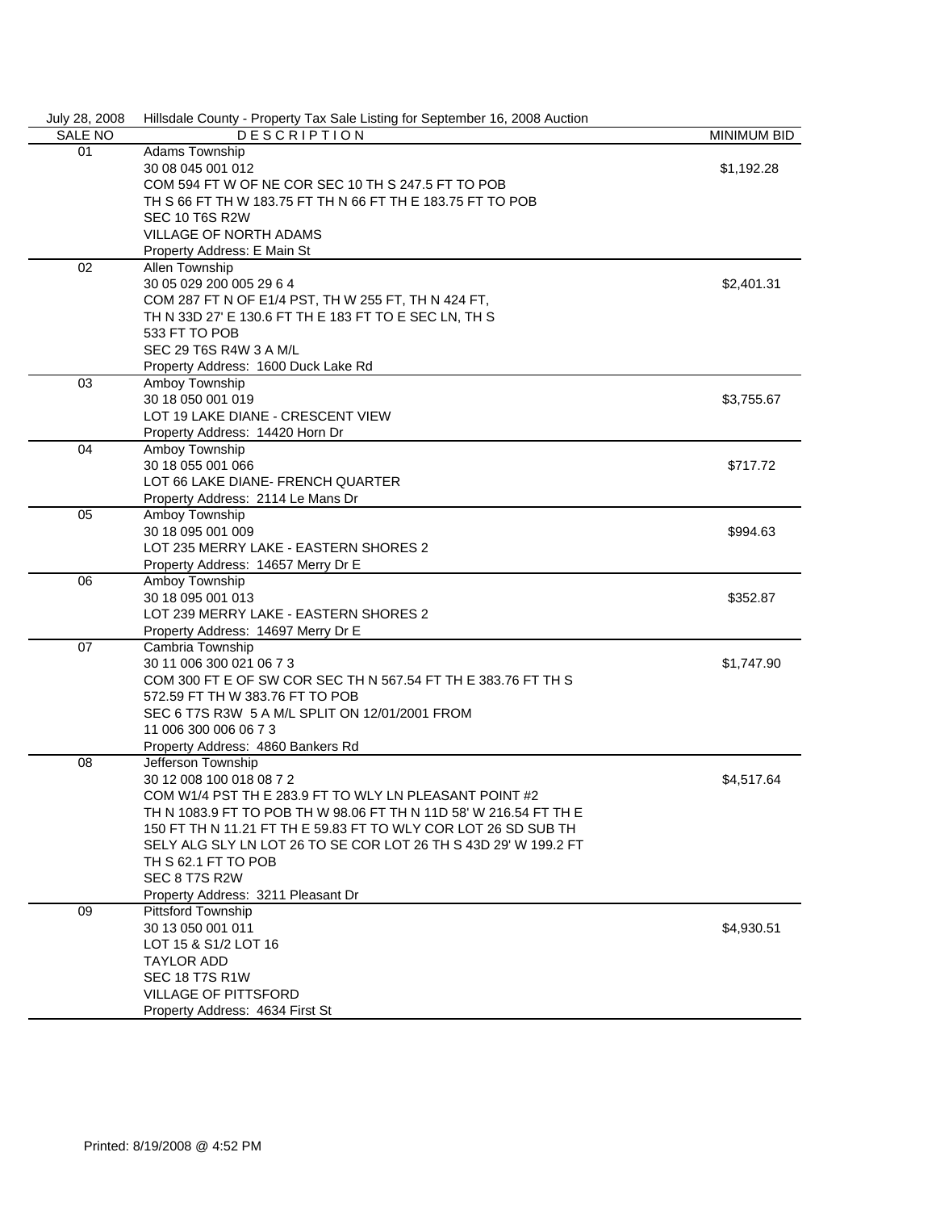| July 28, 2008  | Hillsdale County - Property Tax Sale Listing for September 16, 2008 Auction |                    |
|----------------|-----------------------------------------------------------------------------|--------------------|
| <b>SALE NO</b> | <b>DESCRIPTION</b>                                                          | <b>MINIMUM BID</b> |
| 01             | Adams Township                                                              |                    |
|                | 30 08 045 001 012                                                           | \$1,192.28         |
|                | COM 594 FT W OF NE COR SEC 10 TH S 247.5 FT TO POB                          |                    |
|                | TH S 66 FT TH W 183.75 FT TH N 66 FT TH E 183.75 FT TO POB                  |                    |
|                | SEC 10 T6S R2W                                                              |                    |
|                | <b>VILLAGE OF NORTH ADAMS</b>                                               |                    |
|                | Property Address: E Main St                                                 |                    |
| 02             | Allen Township                                                              |                    |
|                | 30 05 029 200 005 29 6 4<br>\$2,401.31                                      |                    |
|                | COM 287 FT N OF E1/4 PST, TH W 255 FT, TH N 424 FT,                         |                    |
|                | TH N 33D 27' E 130.6 FT TH E 183 FT TO E SEC LN, TH S                       |                    |
|                | 533 FT TO POB                                                               |                    |
|                | SEC 29 T6S R4W 3 A M/L                                                      |                    |
|                | Property Address: 1600 Duck Lake Rd                                         |                    |
| 03             | Amboy Township                                                              |                    |
|                |                                                                             |                    |
|                | 30 18 050 001 019                                                           | \$3,755.67         |
|                | LOT 19 LAKE DIANE - CRESCENT VIEW                                           |                    |
|                | Property Address: 14420 Horn Dr                                             |                    |
| 04             | Amboy Township                                                              |                    |
|                | 30 18 055 001 066                                                           | \$717.72           |
|                | LOT 66 LAKE DIANE- FRENCH QUARTER                                           |                    |
|                | Property Address: 2114 Le Mans Dr                                           |                    |
| 05             | Amboy Township                                                              |                    |
|                | 30 18 095 001 009                                                           | \$994.63           |
|                | LOT 235 MERRY LAKE - EASTERN SHORES 2                                       |                    |
|                | Property Address: 14657 Merry Dr E                                          |                    |
| 06             | Amboy Township                                                              |                    |
|                | 30 18 095 001 013                                                           | \$352.87           |
|                | LOT 239 MERRY LAKE - EASTERN SHORES 2                                       |                    |
|                | Property Address: 14697 Merry Dr E                                          |                    |
| 07             | Cambria Township                                                            |                    |
|                | 30 11 006 300 021 06 7 3                                                    | \$1,747.90         |
|                | COM 300 FT E OF SW COR SEC TH N 567.54 FT TH E 383.76 FT TH S               |                    |
|                | 572.59 FT TH W 383.76 FT TO POB                                             |                    |
|                | SEC 6 T7S R3W 5 A M/L SPLIT ON 12/01/2001 FROM                              |                    |
|                | 11 006 300 006 06 7 3                                                       |                    |
|                | Property Address: 4860 Bankers Rd                                           |                    |
| 08             | Jefferson Township                                                          |                    |
|                | 30 12 008 100 018 08 7 2                                                    | \$4,517.64         |
|                | COM W1/4 PST TH E 283.9 FT TO WLY LN PLEASANT POINT #2                      |                    |
|                | TH N 1083.9 FT TO POB TH W 98.06 FT TH N 11D 58' W 216.54 FT TH E           |                    |
|                | 150 FT TH N 11.21 FT TH E 59.83 FT TO WLY COR LOT 26 SD SUB TH              |                    |
|                | SELY ALG SLY LN LOT 26 TO SE COR LOT 26 TH S 43D 29' W 199.2 FT             |                    |
|                | TH S 62.1 FT TO POB                                                         |                    |
|                | SEC 8 T7S R2W                                                               |                    |
|                |                                                                             |                    |
|                | Property Address: 3211 Pleasant Dr                                          |                    |
| 09             | Pittsford Township                                                          |                    |
|                | 30 13 050 001 011                                                           | \$4,930.51         |
|                | LOT 15 & S1/2 LOT 16                                                        |                    |
|                | <b>TAYLOR ADD</b>                                                           |                    |
|                | <b>SEC 18 T7S R1W</b>                                                       |                    |
|                | VILLAGE OF PITTSFORD                                                        |                    |
|                | Property Address: 4634 First St                                             |                    |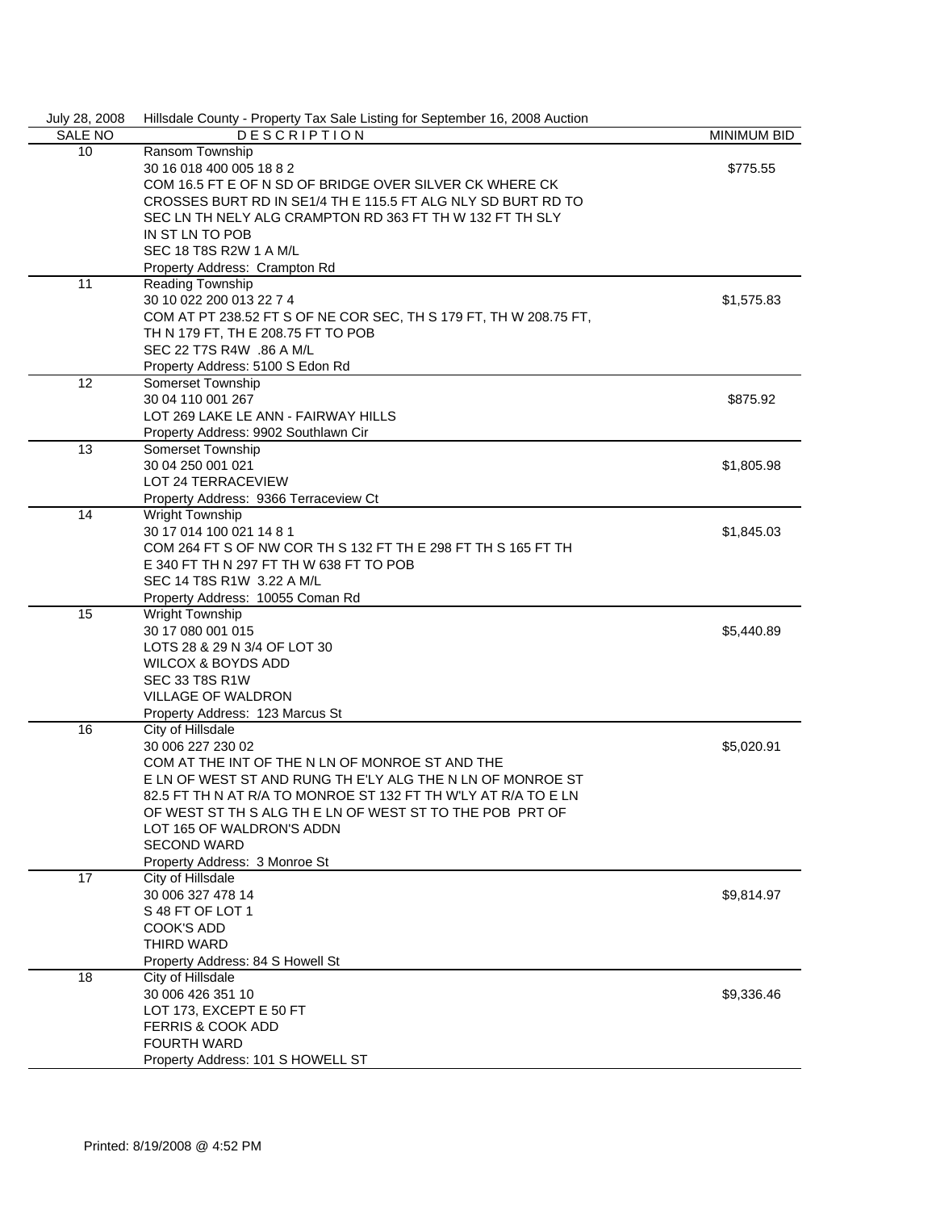| July 28, 2008  | Hillsdale County - Property Tax Sale Listing for September 16, 2008 Auction |            |  |  |
|----------------|-----------------------------------------------------------------------------|------------|--|--|
| <b>SALE NO</b> | <b>DESCRIPTION</b><br><b>MINIMUM BID</b>                                    |            |  |  |
| 10             | Ransom Township                                                             |            |  |  |
|                | 30 16 018 400 005 18 8 2                                                    | \$775.55   |  |  |
|                | COM 16.5 FT E OF N SD OF BRIDGE OVER SILVER CK WHERE CK                     |            |  |  |
|                | CROSSES BURT RD IN SE1/4 TH E 115.5 FT ALG NLY SD BURT RD TO                |            |  |  |
|                | SEC LN TH NELY ALG CRAMPTON RD 363 FT TH W 132 FT TH SLY                    |            |  |  |
|                | IN ST LN TO POB                                                             |            |  |  |
|                | SEC 18 T8S R2W 1 A M/L                                                      |            |  |  |
|                | Property Address: Crampton Rd                                               |            |  |  |
| 11             | Reading Township                                                            |            |  |  |
|                | 30 10 022 200 013 22 7 4                                                    | \$1,575.83 |  |  |
|                |                                                                             |            |  |  |
|                | COM AT PT 238.52 FT S OF NE COR SEC, TH S 179 FT, TH W 208.75 FT,           |            |  |  |
|                | TH N 179 FT, TH E 208.75 FT TO POB                                          |            |  |  |
|                | SEC 22 T7S R4W .86 A M/L                                                    |            |  |  |
|                | Property Address: 5100 S Edon Rd                                            |            |  |  |
| 12             | Somerset Township                                                           |            |  |  |
|                | 30 04 110 001 267                                                           | \$875.92   |  |  |
|                | LOT 269 LAKE LE ANN - FAIRWAY HILLS                                         |            |  |  |
|                | Property Address: 9902 Southlawn Cir                                        |            |  |  |
| 13             | Somerset Township                                                           |            |  |  |
|                | 30 04 250 001 021                                                           | \$1,805.98 |  |  |
|                | <b>LOT 24 TERRACEVIEW</b>                                                   |            |  |  |
|                | Property Address: 9366 Terraceview Ct                                       |            |  |  |
| 14             | Wright Township                                                             |            |  |  |
|                | 30 17 014 100 021 14 8 1                                                    | \$1,845.03 |  |  |
|                | COM 264 FT S OF NW COR TH S 132 FT TH E 298 FT TH S 165 FT TH               |            |  |  |
|                | E 340 FT TH N 297 FT TH W 638 FT TO POB                                     |            |  |  |
|                | SEC 14 T8S R1W 3.22 A M/L                                                   |            |  |  |
|                | Property Address: 10055 Coman Rd                                            |            |  |  |
| 15             | <b>Wright Township</b>                                                      |            |  |  |
|                | 30 17 080 001 015                                                           | \$5,440.89 |  |  |
|                | LOTS 28 & 29 N 3/4 OF LOT 30                                                |            |  |  |
|                | <b>WILCOX &amp; BOYDS ADD</b>                                               |            |  |  |
|                |                                                                             |            |  |  |
|                | <b>SEC 33 T8S R1W</b>                                                       |            |  |  |
|                | <b>VILLAGE OF WALDRON</b>                                                   |            |  |  |
|                | Property Address: 123 Marcus St                                             |            |  |  |
| 16             | City of Hillsdale                                                           |            |  |  |
|                | 30 006 227 230 02                                                           | \$5,020.91 |  |  |
|                | COM AT THE INT OF THE N LN OF MONROE ST AND THE                             |            |  |  |
|                | E LN OF WEST ST AND RUNG TH E'LY ALG THE N LN OF MONROE ST                  |            |  |  |
|                | 82.5 FT TH N AT R/A TO MONROE ST 132 FT TH W'LY AT R/A TO E LN              |            |  |  |
|                | OF WEST ST TH S ALG TH E LN OF WEST ST TO THE POB PRT OF                    |            |  |  |
|                | LOT 165 OF WALDRON'S ADDN                                                   |            |  |  |
|                | <b>SECOND WARD</b>                                                          |            |  |  |
|                | Property Address: 3 Monroe St                                               |            |  |  |
| 17             | City of Hillsdale                                                           |            |  |  |
|                | 30 006 327 478 14                                                           | \$9,814.97 |  |  |
|                | S 48 FT OF LOT 1                                                            |            |  |  |
|                | <b>COOK'S ADD</b>                                                           |            |  |  |
|                | THIRD WARD                                                                  |            |  |  |
|                | Property Address: 84 S Howell St                                            |            |  |  |
| 18             | City of Hillsdale                                                           |            |  |  |
|                | 30 006 426 351 10                                                           | \$9,336.46 |  |  |
|                | LOT 173, EXCEPT E 50 FT                                                     |            |  |  |
|                |                                                                             |            |  |  |
|                | <b>FERRIS &amp; COOK ADD</b>                                                |            |  |  |
|                | <b>FOURTH WARD</b>                                                          |            |  |  |
|                | Property Address: 101 S HOWELL ST                                           |            |  |  |